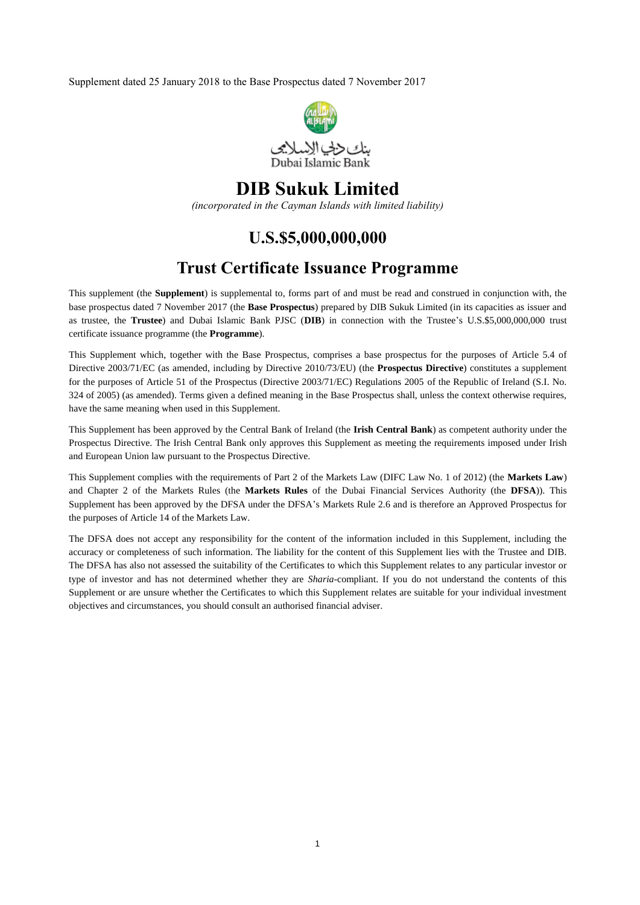Supplement dated 25 January 2018 to the Base Prospectus dated 7 November 2017



# **DIB Sukuk Limited**

*(incorporated in the Cayman Islands with limited liability)*

# **U.S.\$5,000,000,000**

# **Trust Certificate Issuance Programme**

This supplement (the **Supplement**) is supplemental to, forms part of and must be read and construed in conjunction with, the base prospectus dated 7 November 2017 (the **Base Prospectus**) prepared by DIB Sukuk Limited (in its capacities as issuer and as trustee, the **Trustee**) and Dubai Islamic Bank PJSC (**DIB**) in connection with the Trustee's U.S.\$5,000,000,000 trust certificate issuance programme (the **Programme**).

This Supplement which, together with the Base Prospectus, comprises a base prospectus for the purposes of Article 5.4 of Directive 2003/71/EC (as amended, including by Directive 2010/73/EU) (the **Prospectus Directive**) constitutes a supplement for the purposes of Article 51 of the Prospectus (Directive 2003/71/EC) Regulations 2005 of the Republic of Ireland (S.I. No. 324 of 2005) (as amended). Terms given a defined meaning in the Base Prospectus shall, unless the context otherwise requires, have the same meaning when used in this Supplement.

This Supplement has been approved by the Central Bank of Ireland (the **Irish Central Bank**) as competent authority under the Prospectus Directive. The Irish Central Bank only approves this Supplement as meeting the requirements imposed under Irish and European Union law pursuant to the Prospectus Directive.

This Supplement complies with the requirements of Part 2 of the Markets Law (DIFC Law No. 1 of 2012) (the **Markets Law**) and Chapter 2 of the Markets Rules (the **Markets Rules** of the Dubai Financial Services Authority (the **DFSA**)). This Supplement has been approved by the DFSA under the DFSA's Markets Rule 2.6 and is therefore an Approved Prospectus for the purposes of Article 14 of the Markets Law.

The DFSA does not accept any responsibility for the content of the information included in this Supplement, including the accuracy or completeness of such information. The liability for the content of this Supplement lies with the Trustee and DIB. The DFSA has also not assessed the suitability of the Certificates to which this Supplement relates to any particular investor or type of investor and has not determined whether they are *Sharia*-compliant. If you do not understand the contents of this Supplement or are unsure whether the Certificates to which this Supplement relates are suitable for your individual investment objectives and circumstances, you should consult an authorised financial adviser.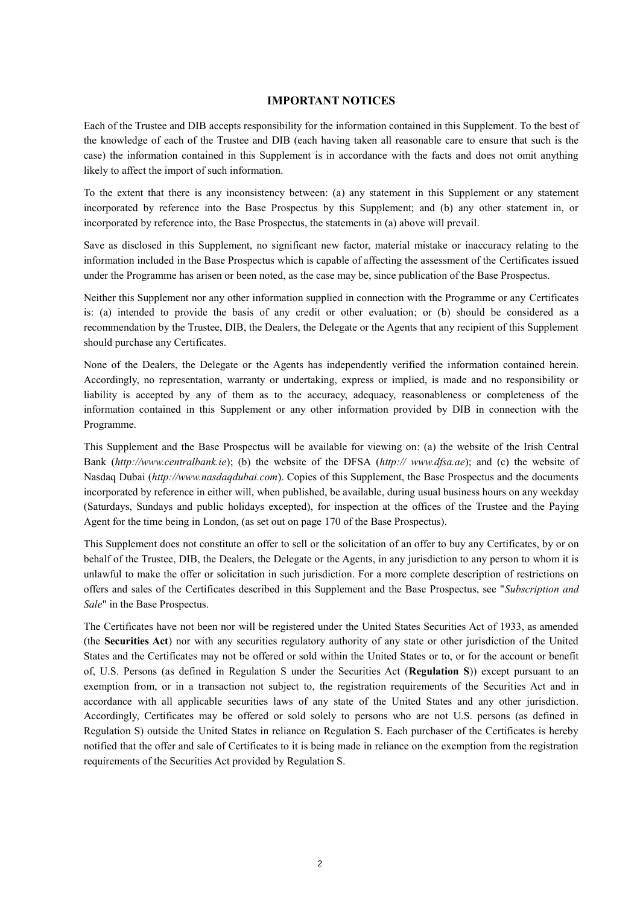### **IMPORTANT NOTICES**

Each of the Trustee and DIB accepts responsibility for the information contained in this Supplement. To the best of the knowledge of each of the Trustee and DIB (each having taken all reasonable care to ensure that such is the case) the information contained in this Supplement is in accordance with the facts and does not omit anything likely to affect the import of such information.

To the extent that there is any inconsistency between: (a) any statement in this Supplement or any statement incorporated by reference into the Base Prospectus by this Supplement; and (b) any other statement in, or incorporated by reference into, the Base Prospectus, the statements in (a) above will prevail.

Save as disclosed in this Supplement, no significant new factor, material mistake or inaccuracy relating to the information included in the Base Prospectus which is capable of affecting the assessment of the Certificates issued under the Programme has arisen or been noted, as the case may be, since publication of the Base Prospectus.

Neither this Supplement nor any other information supplied in connection with the Programme or any Certificates is: (a) intended to provide the basis of any credit or other evaluation; or (b) should be considered as a recommendation by the Trustee, DIB, the Dealers, the Delegate or the Agents that any recipient of this Supplement should purchase any Certificates.

None of the Dealers, the Delegate or the Agents has independently verified the information contained herein. Accordingly, no representation, warranty or undertaking, express or implied, is made and no responsibility or liability is accepted by any of them as to the accuracy, adequacy, reasonableness or completeness of the information contained in this Supplement or any other information provided by DIB in connection with the Programme.

This Supplement and the Base Prospectus will be available for viewing on: (a) the website of the Irish Central Bank (*http://www.centralbank.ie*); (b) the website of the DFSA (*http:// www.dfsa.ae*); and (c) the website of Nasdaq Dubai (*http://www.nasdaqdubai.com*). Copies of this Supplement, the Base Prospectus and the documents incorporated by reference in either will, when published, be available, during usual business hours on any weekday (Saturdays, Sundays and public holidays excepted), for inspection at the offices of the Trustee and the Paying Agent for the time being in London, (as set out on page 170 of the Base Prospectus).

This Supplement does not constitute an offer to sell or the solicitation of an offer to buy any Certificates, by or on behalf of the Trustee, DIB, the Dealers, the Delegate or the Agents, in any jurisdiction to any person to whom it is unlawful to make the offer or solicitation in such jurisdiction. For a more complete description of restrictions on offers and sales of the Certificates described in this Supplement and the Base Prospectus, see "*Subscription and Sale*" in the Base Prospectus.

The Certificates have not been nor will be registered under the United States Securities Act of 1933, as amended (the **Securities Act**) nor with any securities regulatory authority of any state or other jurisdiction of the United States and the Certificates may not be offered or sold within the United States or to, or for the account or benefit of, U.S. Persons (as defined in Regulation S under the Securities Act (**Regulation S**)) except pursuant to an exemption from, or in a transaction not subject to, the registration requirements of the Securities Act and in accordance with all applicable securities laws of any state of the United States and any other jurisdiction. Accordingly, Certificates may be offered or sold solely to persons who are not U.S. persons (as defined in Regulation S) outside the United States in reliance on Regulation S. Each purchaser of the Certificates is hereby notified that the offer and sale of Certificates to it is being made in reliance on the exemption from the registration requirements of the Securities Act provided by Regulation S.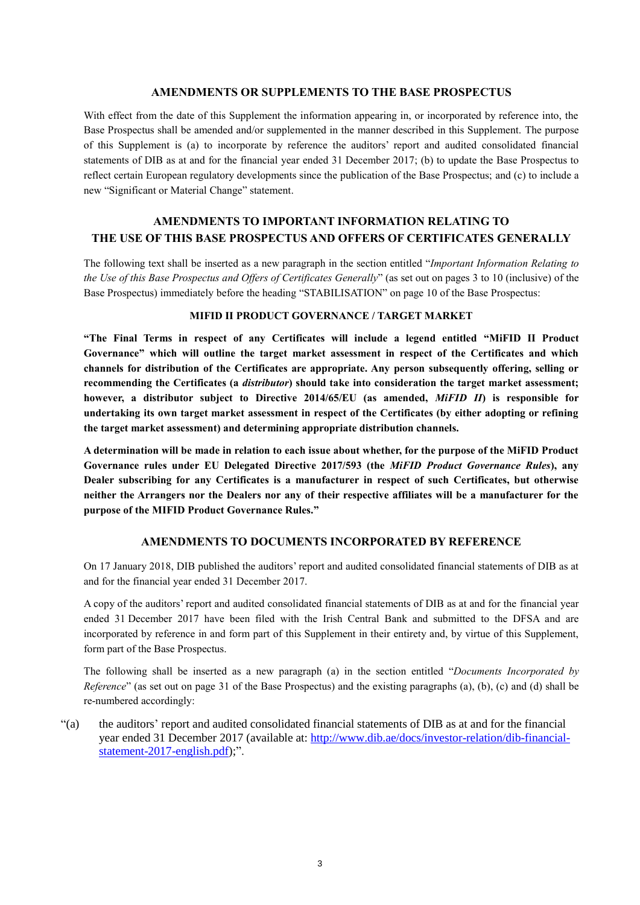### **AMENDMENTS OR SUPPLEMENTS TO THE BASE PROSPECTUS**

With effect from the date of this Supplement the information appearing in, or incorporated by reference into, the Base Prospectus shall be amended and/or supplemented in the manner described in this Supplement. The purpose of this Supplement is (a) to incorporate by reference the auditors' report and audited consolidated financial statements of DIB as at and for the financial year ended 31 December 2017; (b) to update the Base Prospectus to reflect certain European regulatory developments since the publication of the Base Prospectus; and (c) to include a new "Significant or Material Change" statement.

## **AMENDMENTS TO IMPORTANT INFORMATION RELATING TO THE USE OF THIS BASE PROSPECTUS AND OFFERS OF CERTIFICATES GENERALLY**

The following text shall be inserted as a new paragraph in the section entitled "*Important Information Relating to the Use of this Base Prospectus and Offers of Certificates Generally*" (as set out on pages 3 to 10 (inclusive) of the Base Prospectus) immediately before the heading "STABILISATION" on page 10 of the Base Prospectus:

## **MIFID II PRODUCT GOVERNANCE / TARGET MARKET**

**"The Final Terms in respect of any Certificates will include a legend entitled "MiFID II Product Governance" which will outline the target market assessment in respect of the Certificates and which channels for distribution of the Certificates are appropriate. Any person subsequently offering, selling or recommending the Certificates (a** *distributor***) should take into consideration the target market assessment; however, a distributor subject to Directive 2014/65/EU (as amended,** *MiFID II***) is responsible for undertaking its own target market assessment in respect of the Certificates (by either adopting or refining the target market assessment) and determining appropriate distribution channels.** 

**A determination will be made in relation to each issue about whether, for the purpose of the MiFID Product Governance rules under EU Delegated Directive 2017/593 (the** *MiFID Product Governance Rules***), any Dealer subscribing for any Certificates is a manufacturer in respect of such Certificates, but otherwise neither the Arrangers nor the Dealers nor any of their respective affiliates will be a manufacturer for the purpose of the MIFID Product Governance Rules."**

## **AMENDMENTS TO DOCUMENTS INCORPORATED BY REFERENCE**

On 17 January 2018, DIB published the auditors' report and audited consolidated financial statements of DIB as at and for the financial year ended 31 December 2017.

A copy of the auditors' report and audited consolidated financial statements of DIB as at and for the financial year ended 31 December 2017 have been filed with the Irish Central Bank and submitted to the DFSA and are incorporated by reference in and form part of this Supplement in their entirety and, by virtue of this Supplement, form part of the Base Prospectus.

The following shall be inserted as a new paragraph (a) in the section entitled "*Documents Incorporated by Reference*" (as set out on page 31 of the Base Prospectus) and the existing paragraphs (a), (b), (c) and (d) shall be re-numbered accordingly:

"(a) the auditors' report and audited consolidated financial statements of DIB as at and for the financial year ended 31 December 2017 (available at: [http://www.dib.ae/docs/investor-relation/dib-financial](http://www.dib.ae/docs/investor-relation/dib-financial-statement-2017-english.pdf)[statement-2017-english.pdf\)](http://www.dib.ae/docs/investor-relation/dib-financial-statement-2017-english.pdf);".